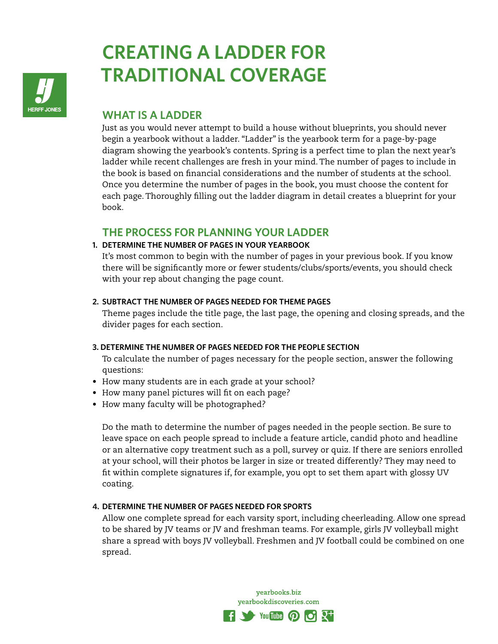

# **CREATING A LADDER FOR TRADITIONAL COVERAGE**

# **WHAT IS A LADDER**

Just as you would never attempt to build a house without blueprints, you should never begin a yearbook without a ladder. "Ladder" is the yearbook term for a page-by-page diagram showing the yearbook's contents. Spring is a perfect time to plan the next year's ladder while recent challenges are fresh in your mind. The number of pages to include in the book is based on financial considerations and the number of students at the school. Once you determine the number of pages in the book, you must choose the content for each page. Thoroughly filling out the ladder diagram in detail creates a blueprint for your book.

## **THE PROCESS FOR PLANNING YOUR LADDER**

## **1. DETERMINE THE NUMBER OF PAGES IN YOUR YEARBOOK**

It's most common to begin with the number of pages in your previous book. If you know there will be significantly more or fewer students/clubs/sports/events, you should check with your rep about changing the page count.

## **2. SUBTRACT THE NUMBER OF PAGES NEEDED FOR THEME PAGES**

Theme pages include the title page, the last page, the opening and closing spreads, and the divider pages for each section.

## **3. DETERMINE THE NUMBER OF PAGES NEEDED FOR THE PEOPLE SECTION**

To calculate the number of pages necessary for the people section, answer the following questions:

- How many students are in each grade at your school?
- How many panel pictures will fit on each page?
- How many faculty will be photographed?

Do the math to determine the number of pages needed in the people section. Be sure to leave space on each people spread to include a feature article, candid photo and headline or an alternative copy treatment such as a poll, survey or quiz. If there are seniors enrolled at your school, will their photos be larger in size or treated differently? They may need to fit within complete signatures if, for example, you opt to set them apart with glossy UV coating.

## **4. DETERMINE THE NUMBER OF PAGES NEEDED FOR SPORTS**

Allow one complete spread for each varsity sport, including cheerleading. Allow one spread to be shared by JV teams or JV and freshman teams. For example, girls JV volleyball might share a spread with boys JV volleyball. Freshmen and JV football could be combined on one spread.

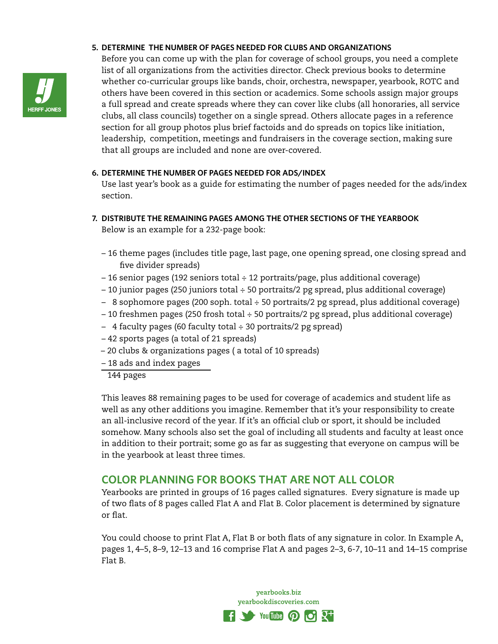#### **5. DETERMINE THE NUMBER OF PAGES NEEDED FOR CLUBS AND ORGANIZATIONS**



Before you can come up with the plan for coverage of school groups, you need a complete list of all organizations from the activities director. Check previous books to determine whether co-curricular groups like bands, choir, orchestra, newspaper, yearbook, ROTC and others have been covered in this section or academics. Some schools assign major groups a full spread and create spreads where they can cover like clubs (all honoraries, all service clubs, all class councils) together on a single spread. Others allocate pages in a reference section for all group photos plus brief factoids and do spreads on topics like initiation, leadership, competition, meetings and fundraisers in the coverage section, making sure that all groups are included and none are over-covered.

#### **6. DETERMINE THE NUMBER OF PAGES NEEDED FOR ADS/INDEX**

Use last year's book as a guide for estimating the number of pages needed for the ads/index section.

- **7. DISTRIBUTE THE REMAINING PAGES AMONG THE OTHER SECTIONS OF THE YEARBOOK**  Below is an example for a 232-page book:
	- 16 theme pages (includes title page, last page, one opening spread, one closing spread and five divider spreads)
	- 16 senior pages (192 seniors total ÷ 12 portraits/page, plus additional coverage)
	- 10 junior pages (250 juniors total ÷ 50 portraits/2 pg spread, plus additional coverage)
	- 8 sophomore pages (200 soph. total ÷ 50 portraits/2 pg spread, plus additional coverage)
	- 10 freshmen pages (250 frosh total ÷ 50 portraits/2 pg spread, plus additional coverage)
	- 4 faculty pages (60 faculty total ÷ 30 portraits/2 pg spread)
	- 42 sports pages (a total of 21 spreads)
	- 20 clubs & organizations pages ( a total of 10 spreads)
	- 18 ads and index pages
	- 144 pages

This leaves 88 remaining pages to be used for coverage of academics and student life as well as any other additions you imagine. Remember that it's your responsibility to create an all-inclusive record of the year. If it's an official club or sport, it should be included somehow. Many schools also set the goal of including all students and faculty at least once in addition to their portrait; some go as far as suggesting that everyone on campus will be in the yearbook at least three times.

# **COLOR PLANNING FOR BOOKS THAT ARE NOT ALL COLOR**

Yearbooks are printed in groups of 16 pages called signatures. Every signature is made up of two flats of 8 pages called Flat A and Flat B. Color placement is determined by signature or flat.

You could choose to print Flat A, Flat B or both flats of any signature in color. In Example A, pages 1, 4–5, 8–9, 12–13 and 16 comprise Flat A and pages 2–3, 6-7, 10–11 and 14–15 comprise Flat B.